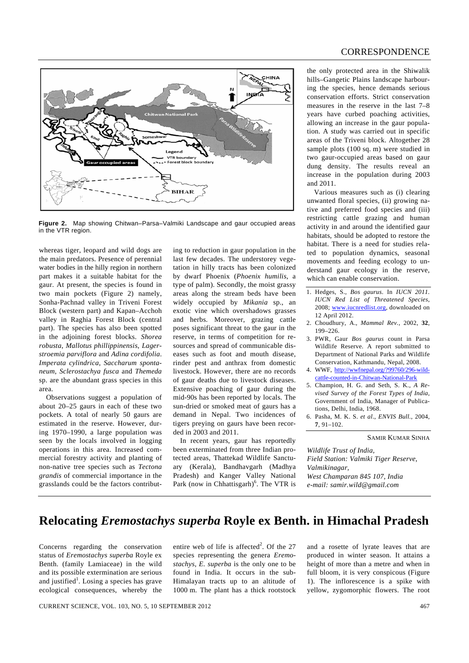

**Figure 2.** Map showing Chitwan–Parsa–Valmiki Landscape and gaur occupied areas

whereas tiger, leopard and wild dogs are the main predators. Presence of perennial water bodies in the hilly region in northern part makes it a suitable habitat for the gaur. At present, the species is found in two main pockets (Figure 2) namely, Sonha-Pachnad valley in Triveni Forest Block (western part) and Kapan–Acchoh valley in Raghia Forest Block (central part). The species has also been spotted in the adjoining forest blocks. *Shorea robusta*, *Mallotus phillippinensis*, *Lagerstroemia parviflora* and *Adina cordifolia*. *Imperata cylindrica*, *Saccharum spontaneum*, *Sclerostachya fusca* and *Themeda*  sp. are the abundant grass species in this area.

in the VTR region.

 Observations suggest a population of about 20–25 gaurs in each of these two pockets. A total of nearly 50 gaurs are estimated in the reserve. However, during 1970–1990, a large population was seen by the locals involved in logging operations in this area. Increased commercial forestry activity and planting of non-native tree species such as *Tectona grandis* of commercial importance in the grasslands could be the factors contribut-

ing to reduction in gaur population in the last few decades. The understorey vegetation in hilly tracts has been colonized by dwarf Phoenix (*Phoenix humilis*, a type of palm). Secondly, the moist grassy areas along the stream beds have been widely occupied by *Mikania* sp., an exotic vine which overshadows grasses and herbs. Moreover, grazing cattle poses significant threat to the gaur in the reserve, in terms of competition for resources and spread of communicable diseases such as foot and mouth disease, rinder pest and anthrax from domestic livestock. However, there are no records of gaur deaths due to livestock diseases. Extensive poaching of gaur during the mid-90s has been reported by locals. The sun-dried or smoked meat of gaurs has a demand in Nepal. Two incidences of tigers preying on gaurs have been recorded in 2003 and 2011.

 In recent years, gaur has reportedly been exterminated from three Indian protected areas, Thattekad Wildlife Sanctuary (Kerala), Bandhavgarh (Madhya Pradesh) and Kanger Valley National Park (now in Chhattisgarh) $<sup>6</sup>$ . The VTR is</sup> the only protected area in the Shiwalik hills–Gangetic Plains landscape harbouring the species, hence demands serious conservation efforts. Strict conservation measures in the reserve in the last 7–8 years have curbed poaching activities, allowing an increase in the gaur population. A study was carried out in specific areas of the Triveni block. Altogether 28 sample plots (100 sq. m) were studied in two gaur-occupied areas based on gaur dung density. The results reveal an increase in the population during 2003 and 2011.

 Various measures such as (i) clearing unwanted floral species, (ii) growing native and preferred food species and (iii) restricting cattle grazing and human activity in and around the identified gaur habitats, should be adopted to restore the habitat. There is a need for studies related to population dynamics, seasonal movements and feeding ecology to understand gaur ecology in the reserve, which can enable conservation.

- 1. Hedges, S., *Bos gaurus*. In *IUCN 2011. IUCN Red List of Threatened Species*, 2008; www.iucnredlist.org, downloaded on 12 April 2012.
- 2. Choudhury, A., *Mammal Rev.*, 2002, **32**, 199–226.
- 3. PWR, Gaur *Bos gaurus* count in Parsa Wildlife Reserve. A report submitted to Department of National Parks and Wildlife Conservation, Kathmandu, Nepal, 2008.
- 4. WWF, http://wwfnepal.org/?99760/296-wildcattle-counted-in-Chitwan-National-Park
- 5. Champion, H. G. and Seth, S. K., *A Revised Survey of the Forest Types of India*, Government of India, Manager of Publications, Delhi, India, 1968.
- 6. Pasha, M. K. S. *et al*., *ENVIS Bull.*, 2004, **7**, 91–102.

SAMIR KUMAR SINHA

*Wildlife Trust of India, Field Station: Valmiki Tiger Reserve, Valmikinagar, West Champaran 845 107, India e-mail: samir.wild@gmail.com* 

## **Relocating** *Eremostachys superba* **Royle ex Benth. in Himachal Pradesh**

Concerns regarding the conservation status of *Eremostachys superba* Royle ex Benth. (family Lamiaceae) in the wild and its possible extermination are serious and justified<sup>1</sup>. Losing a species has grave ecological consequences, whereby the

entire web of life is affected<sup>2</sup>. Of the 27 species representing the genera *Eremostachys*, *E. superba* is the only one to be found in India. It occurs in the sub-Himalayan tracts up to an altitude of 1000 m. The plant has a thick rootstock

and a rosette of lyrate leaves that are produced in winter season. It attains a height of more than a metre and when in full bloom, it is very conspicous (Figure 1). The inflorescence is a spike with yellow, zygomorphic flowers. The root